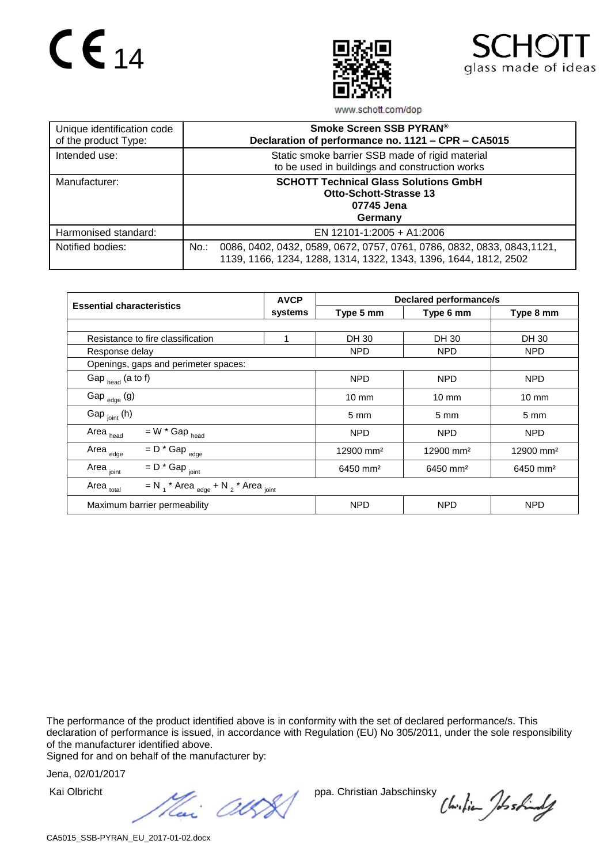## $C \epsilon_{14}$





www.schott.com/dop

| Unique identification code<br>of the product Type: | Smoke Screen SSB PYRAN®<br>Declaration of performance no. 1121 - CPR - CA5015                                                                          |  |  |  |
|----------------------------------------------------|--------------------------------------------------------------------------------------------------------------------------------------------------------|--|--|--|
| Intended use:                                      | Static smoke barrier SSB made of rigid material<br>to be used in buildings and construction works                                                      |  |  |  |
| Manufacturer:                                      | <b>SCHOTT Technical Glass Solutions GmbH</b><br><b>Otto-Schott-Strasse 13</b><br>07745 Jena<br>Germany                                                 |  |  |  |
| Harmonised standard:                               | EN 12101-1:2005 + A1:2006                                                                                                                              |  |  |  |
| Notified bodies:                                   | 0086, 0402, 0432, 0589, 0672, 0757, 0761, 0786, 0832, 0833, 0843, 1121,<br>$No.$ :<br>1139, 1166, 1234, 1288, 1314, 1322, 1343, 1396, 1644, 1812, 2502 |  |  |  |

| <b>Essential characteristics</b>                                            | <b>AVCP</b> | <b>Declared performance/s</b> |                         |                         |  |  |
|-----------------------------------------------------------------------------|-------------|-------------------------------|-------------------------|-------------------------|--|--|
|                                                                             | systems     | Type 5 mm                     | Type 6 mm               | Type 8 mm               |  |  |
|                                                                             |             |                               |                         |                         |  |  |
| Resistance to fire classification                                           | 1           | DH 30                         | DH 30                   | DH 30                   |  |  |
| Response delay                                                              |             | <b>NPD</b>                    | <b>NPD</b>              | <b>NPD</b>              |  |  |
| Openings, gaps and perimeter spaces:                                        |             |                               |                         |                         |  |  |
| Gap $_{\text{head}}$ (a to f)                                               |             | <b>NPD</b>                    | <b>NPD</b>              | NPD                     |  |  |
| Gap $_{edge}$ (g)                                                           |             | $10 \text{ mm}$               | $10 \text{ mm}$         | $10 \text{ mm}$         |  |  |
| Gap $_{\text{joint}}$ (h)                                                   |             | $5 \, \text{mm}$              | 5 <sub>mm</sub>         | $5 \, \text{mm}$        |  |  |
| $=$ W $*$ Gap $_{\text{head}}$<br>Area <sub>head</sub>                      |             | <b>NPD</b>                    | <b>NPD</b>              | NPD.                    |  |  |
| $= D * \text{Gap}_{\text{edge}}$<br>Area <sub>edge</sub>                    |             | 12900 mm <sup>2</sup>         | $12900$ mm <sup>2</sup> | $12900$ mm <sup>2</sup> |  |  |
| $= D * Gap$ <sub>joint</sub><br>Area <sub>joint</sub>                       |             | $6450$ mm <sup>2</sup>        | $6450$ mm <sup>2</sup>  | $6450$ mm <sup>2</sup>  |  |  |
| $=N_1$ * Area $_{edge}$ + N $_2$ * Area $_{joint}$<br>Area <sub>total</sub> |             |                               |                         |                         |  |  |
| Maximum barrier permeability                                                |             | <b>NPD</b>                    | <b>NPD</b>              | <b>NPD</b>              |  |  |

The performance of the product identified above is in conformity with the set of declared performance/s. This declaration of performance is issued, in accordance with Regulation (EU) No 305/2011, under the sole responsibility of the manufacturer identified above.

Signed for and on behalf of the manufacturer by:

Jena, 02/01/2017

Kai Olbricht ppa. Christian Jabschinsky<br>
Heri (ICOS)

Chilian Joshindy